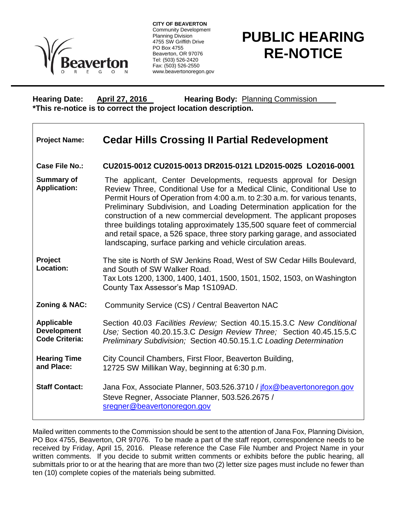

**CITY OF BEAVERTON** Community Development Planning Division 4755 SW Griffith Drive PO Box 4755 Beaverton, OR 97076 Tel: (503) 526-2420 Fax: (503) 526-2550 www.beavertonoregon.gov

## **PUBLIC HEARING RE-NOTICE**

**Hearing Date: April 27, 2016 Hearing Body:** Planning Commission **\*This re-notice is to correct the project location description.** 

| <b>Project Name:</b> | <b>Cedar Hills Crossing II Partial Redevelopment</b> |  |  |  |  |
|----------------------|------------------------------------------------------|--|--|--|--|
|----------------------|------------------------------------------------------|--|--|--|--|

**Case File No.: CU2015-0012 CU2015-0013 DR2015-0121 LD2015-0025 LO2016-0001**

**Summary of Application:** The applicant, Center Developments, requests approval for Design Review Three, Conditional Use for a Medical Clinic, Conditional Use to Permit Hours of Operation from 4:00 a.m. to 2:30 a.m. for various tenants, Preliminary Subdivision, and Loading Determination application for the construction of a new commercial development. The applicant proposes three buildings totaling approximately 135,500 square feet of commercial and retail space, a 526 space, three story parking garage, and associated landscaping, surface parking and vehicle circulation areas.

**Project Location:** The site is North of SW Jenkins Road, West of SW Cedar Hills Boulevard, and South of SW Walker Road. Tax Lots 1200, 1300, 1400, 1401, 1500, 1501, 1502, 1503, on Washington County Tax Assessor's Map 1S109AD.

**Zoning & NAC:** Community Service (CS) / Central Beaverton NAC

**Applicable Development Code Criteria:** Section 40.03 *Facilities Review;* Section 40.15.15.3.C *New Conditional Use;* Section 40.20.15.3.C *Design Review Three;* Section 40.45.15.5.C *Preliminary Subdivision;* Section 40.50.15.1.C *Loading Determination*

**Hearing Time and Place:** City Council Chambers, First Floor, Beaverton Building, 12725 SW Millikan Way, beginning at 6:30 p.m.

**Staff Contact:** Jana Fox, Associate Planner, 503.526.3710 / [jfox@beavertonoregon.gov](mailto:jfox@beavertonoregon.gov) Steve Regner, Associate Planner, 503.526.2675 / [sregner@beavertonoregon.gov](mailto:sregner@beavertonoregon.gov)

Mailed written comments to the Commission should be sent to the attention of Jana Fox, Planning Division, PO Box 4755, Beaverton, OR 97076. To be made a part of the staff report, correspondence needs to be received by Friday, April 15, 2016. Please reference the Case File Number and Project Name in your written comments. If you decide to submit written comments or exhibits before the public hearing, all submittals prior to or at the hearing that are more than two (2) letter size pages must include no fewer than ten (10) complete copies of the materials being submitted.